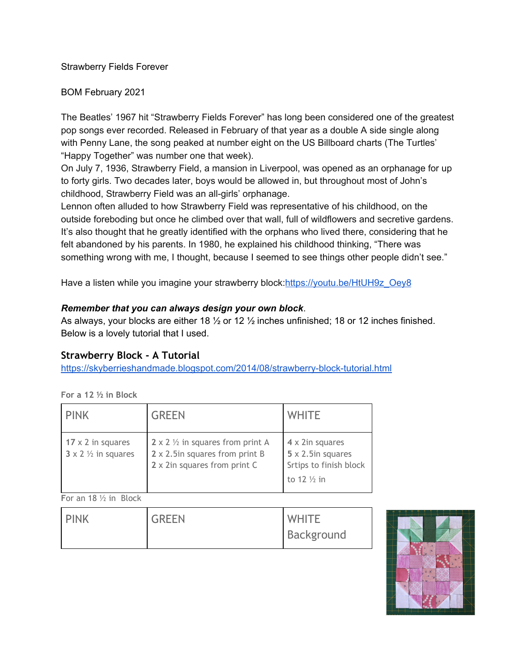Strawberry Fields Forever

BOM February 2021

The Beatles' 1967 hit "Strawberry Fields Forever" has long been considered one of the greatest pop songs ever recorded. Released in February of that year as a double A side single along with Penny Lane, the song peaked at number eight on the US Billboard charts (The Turtles' "Happy Together" was number one that week).

On July 7, 1936, Strawberry Field, a mansion in Liverpool, was opened as an orphanage for up to forty girls. Two decades later, boys would be allowed in, but throughout most of John's childhood, Strawberry Field was an all-girls' orphanage.

Lennon often alluded to how Strawberry Field was representative of his childhood, on the outside foreboding but once he climbed over that wall, full of wildflowers and secretive gardens. It's also thought that he greatly identified with the orphans who lived there, considering that he felt abandoned by his parents. In 1980, he explained his childhood thinking, "There was something wrong with me, I thought, because I seemed to see things other people didn't see."

Have a listen while you imagine your strawberry block:[https://youtu.be/HtUH9z\\_Oey8](https://youtu.be/HtUH9z_Oey8)

## *Remember that you can always design your own block*.

As always, your blocks are either 18 ½ or 12 ½ inches unfinished; 18 or 12 inches finished. Below is a lovely tutorial that I used.

## **Strawberry Block - A Tutorial**

<https://skyberrieshandmade.blogspot.com/2014/08/strawberry-block-tutorial.html>

|--|

| <b>PINK</b>                                                     | <b>GREEN</b>                                                                                                  | <b>WHITE</b>                                                                                     |
|-----------------------------------------------------------------|---------------------------------------------------------------------------------------------------------------|--------------------------------------------------------------------------------------------------|
| $17 \times 2$ in squares<br>$3 \times 2 \frac{1}{2}$ in squares | 2 x 2 $\frac{1}{2}$ in squares from print A<br>2 x 2.5in squares from print B<br>2 x 2in squares from print C | 4 x 2in squares<br>$5 \times 2.5$ in squares<br>Srtips to finish block<br>to 12 $\frac{1}{2}$ in |

**F**or an 18 ½ in Block

| <b>PINK</b> | <b>GREEN</b> | <b>WHITE</b> |
|-------------|--------------|--------------|
|             |              | Background   |